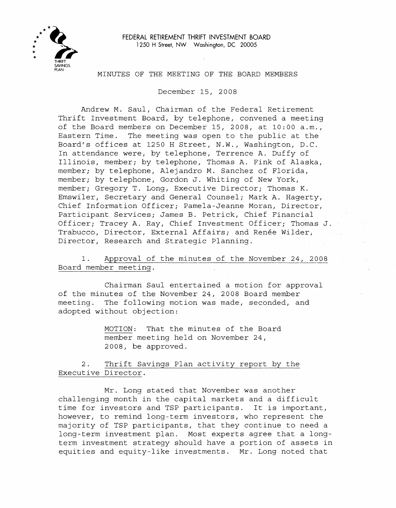

## MINUTES OF THE MEETING OF THE BOARD MEMBERS

December IS, 2008

Andrew M. Saul, Chairman of the Federal Retirement Thrift Investment Board, by telephone, convened a meeting of the Board members on December IS, 2008, at 10:00 a.m., Eastern Time. The meeting was open to the public at the Board's offices at 1250 H Street, N.W., Washington, D.C. In attendance were, by telephone, Terrence A. Duffy of Illinois, member; by telephone, Thomas A. Fink of Alaska, member; by telephone, Alejandro M. Sanchez of Florida, member; by telephone, Gordon J. Whiting of New York, member; Gregory T. Long, Executive Director; Thomas K. Emswiler, Secretary and General Counsel; Mark A. Hagerty, Chief Information Officer; Pamela-Jeanne Moran, Director, Participant Services; James B. Petrick, Chief Financial Officer; Tracey A. Ray, Chief Investment Officer; Thomas J. Trabucco, Director, External Affairs; and Ren§e Wilder, Director, Research and Strategic Planning.

1. Approval of the minutes of the November 24, 2008 Board member meeting.

Chairman Saul entertained a motion for approval of the minutes of the November 24, 2008 Board member meeting. The following motion was made, seconded, and adopted without objection:

> MOTION: That the minutes of the Board member meeting held on November 24, 2008, be approved.

2. Thrift Savings Plan activity report by the Executive Director.

Mr. Long stated that November was another challenging month in the capital markets and <sup>a</sup> difficult time for investors and TSP participants. It is important, however, to remind long-term investors, who represent the majority of TSP participants, that they continue to need a long-term investment plan. Most experts agree that a longterm investment strategy should have a portion of assets in equities and equity-like investments. Mr. Long noted that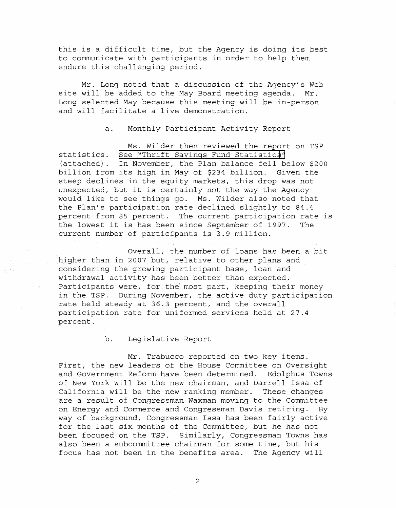this is <sup>a</sup> difficult time, but the Agency is doing its best to communicate with participants in order to help them endure this challenging period.

Mr. Long noted that a discussion of the Agency's Web site will be added to the May Board meeting agenda. Mr. Long selected May because this meeting will be in-person and will facilitate <sup>a</sup> live demonstration.

a. Monthly Participant Activity Report

Ms. Wilder then reviewed the report on TSP statistics. See ~Thrift Savings Fund [Statistics](\\Tib-web\frtib-apps\oas\Websites\_Prod-Support\Remote-Sites\ChgReq-FRTIB-Public\mm-2008Dec\MM-2008Dec-Att1FundStatistics)["](http://www.frtib.gov/pdf/minutes/MM-2008Dec-Att1FundStatistics.pdf) (attached). In November, the Plan balance fell below \$200 billion from its high in May of \$234 billion. Given the steep declines in the equity markets, this drop was not unexpected, but it is certainly not the way the Agency would like to see things go. Ms. Wilder also noted that the Plan's participation rate declined slightly to 84.4 percent from <sup>85</sup> percent. The current participation rate is the lowest it is has been since September of 1997. The current number of participants is 3.9 million.

Overall, the number of loans has been <sup>a</sup> bit higher than in 2007 but, relative to other plans and considering the growing participant base, loan and withdrawal activity has been better than expected. Participants were, for the most part, keeping their money in the TSP. During November, the active duty participation rate held steady at 36.3 percent, and the overall participation rate for uniformed services held at 27.4 percent.

b. Legislative Report

Mr. Trabucco reported on two key items. First, the new leaders of the House Committee on Oversight and Government Reform have been determined. Edolphus Towns of New York will be the new chairman, and Darrell Issa of California will be the new ranking member. These changes are <sup>a</sup> result of Congressman Waxman moving to the Committee on Energy and Commerce and Congressman Davis retiring. By way of background, Congressman Issa has been fairly active for the last six months of the Committee, but he has not been focused on the TSP. Similarly, Congressman Towns has also been a subcommittee chairman for some time, but his focus has not been in the benefits area. The Agency will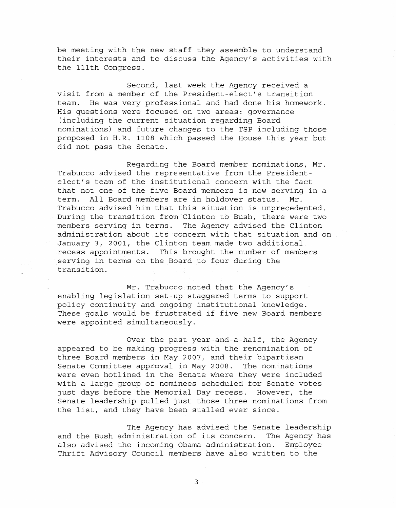be meeting with the new staff they assemble to understand their interests and to discuss the Agency's activities with the 111th Congress.

Second, last week the Agency received <sup>a</sup> visit from <sup>a</sup> member of the President-elect's transition team. He was very professional and had done his homework. His questions were focused on two areas: governance (including the current situation regarding Board nominations) and future changes to the TSP including those proposed in H.R. 1108 which passed the House this year but did not pass the Senate.

Regarding the Board member nominations, Mr. Trabucco advised the representative from the Presidentelect's team of the institutional concern with the fact that not one of the five Board members is now serving in <sup>a</sup> term. All Board members are in holdover status. Mr. Trabucco advised him that this situation is unprecedented. During the transition from Clinton to Bush, there were two members serving in terms. The Agency advised the Clinton administration about its concern with that situation and on January 3, 2001, the Clinton team made two additional recess appointments. This brought the number of members .serving in terms on the Board to four during the transition.

Mr. Trabucco noted that the Agency's enabling legislation set-up staggered terms to support policy continuity and ongoing institutional knowledge. These goals would be frustrated if five new Board members were appointed simultaneously.

Over the past year-and-a-half, the Agency appeared to be making progress with the renomination of three Board members in May 2007, and their bipartisan Senate Committee approval in May 2008. The nominations were even hotlined in the Senate where they were included with a large group of nominees scheduled for Senate votes just days before the Memorial Day recess. However, the Senate leadership pulled just those three nominations from the list, and they have been stalled ever since.

The Agency has advised the Senate leadership and the Bush administration of its concern. The Agency has also advised the incoming Obama administration. Employee Thrift Advisory Council members have also written to the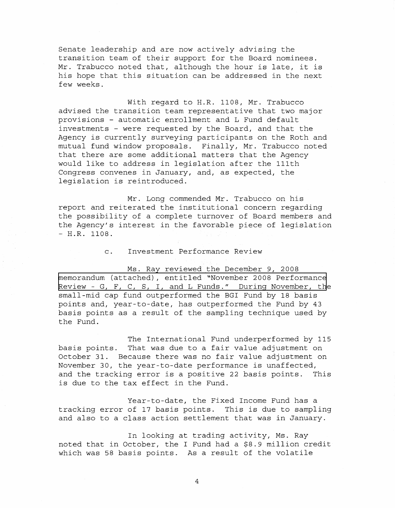Senate leadership and are now actively advising the transition team of their support for the Board nominees. Mr. Trabucco noted that, although the hour is late, it is his hope that this situation can be addressed in the next few weeks.

With regard to H.R. 1108, Mr. Trabucco advised the transition team representative that two major provisions - automatic enrollment and L Fund default investments - were requested by the Board, and that the Agency is currently surveying participants on the Roth and mutual fund window proposals. Finally, Mr. Trabucco noted that there are some additional matters that the Agency would like to address in legislation after the 111th Congress convenes in January, and, as expected, the legislation is reintroduced.

Mr. Long commended Mr. Trabucco on his report and reiterated the institutional concern regarding the possibility of <sup>a</sup> complete turnover of Board members and the Agency's interest in the favorable piece of legislation  $- H.R. 1108.$ 

## c. Investment Performance Review

Ms. Ray reviewed the December 9, 2008 memorandum (attached), entitled "November 2008 [Performance](http://www.frtib.gov/pdf/minutes/MM-2008Dec-Att2PerformanceReview.pdf) Review - G, F, C, S, I, and L Funds." During November, the small-mid cap fund outperformed the BGI Fund by 18 basis points and, year-to-date, has outperformed the Fund by 43 basis points as <sup>a</sup> result of the sampling technique used by the Fund.

The International Fund underperformed by 115 basis points. That was due to <sup>a</sup> fair value adjustment on October 31. Because there was no fair value adjustment on November 30, the year-to-date performance is unaffected, and the tracking error is <sup>a</sup> positive <sup>22</sup> basis points. This is due to the tax effect in the Fund.

Year-to-date, the Fixed Income Fund has a tracking error of <sup>17</sup> basis points. This is due to sampling and also to a class action settlement that was in January.

In looking at trading activity, Ms. Ray noted that in October, the I Fund had a \$8.9 million credit which was 58 basis points. As <sup>a</sup> result of the volatile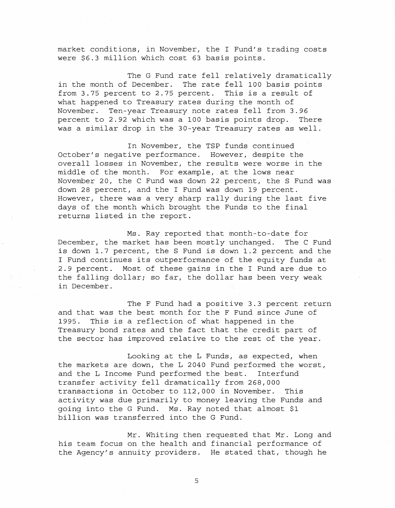market conditions, in November, the I Fund's trading costs were \$6.3 million which cost 63 basis points.

The <sup>G</sup> Fund rate fell relatively dramatically in the month of December. The rate fell 100 basis points from 3.75 percent to 2.75 percent. This is <sup>a</sup> result of what happened to Treasury rates during the month of November. Ten-year Treasury note rates fell from 3.96 percent to 2.92 which was a 100 basis points drop. There was a similar drop in the 30-year Treasury rates as well.

In November, the TSP funds continued October's negative performance. However, despite the overall losses in November, the results were worse in the middle of the month. For example, at the lows near November 20, the C Fund was down 22 percent, the S Fund was down 28 percent, and the I Fund was down 19 percent. However, there was <sup>a</sup> very sharp rally during the last five days of the month which brought the Funds to the final returns listed in the report.

Ms. Ray reported that month-to-date for December, the market has been mostly unchanged. The C Fund is down 1.7 percent, the <sup>S</sup> Fund is down 1.2 percent and the <sup>I</sup> Fund continues its outperformance of the equity funds at 2.9 percent. Most of these gains in the I Fund are due to the falling dollar; so far, the dollar has been very weak in December.

The F Fund had a positive 3.3 percent return and that was the best month for the F Fund since June of 1995. This is <sup>a</sup> reflection of what happened in the Treasury bond rates and the fact that the credit part of the sector has improved relative to the rest of the year.

Looking at the <sup>L</sup> Funds, as expected, when the markets are down, the L 2040 Fund performed the worst, and the L Income Fund performed the best. Interfund transfer activity fell dramatically from 268,000 transactions in October to 112,000 in November. This activity was due primarily to money leaving the Funds and going into the G Fund. Ms. Ray noted that almost \$1 billion was transferred into the <sup>G</sup> Fund.

Mr. Whiting then requested that Mr. Long and his team focus on the health and financial performance of the Agency's annuity providers. He stated that, though he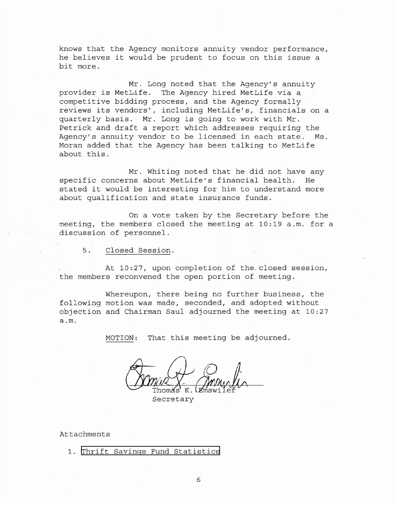knows that the Agency monitors annuity vendor performance, he believes it would be prudent to focus on this issue <sup>a</sup> bit more.

Mr. Long noted that the Agency's annuity provider is MetLife. The Agency hired MetLife via <sup>a</sup> competitive bidding process, and the Agency formally reviews its vendors', including MetLife's, financials on <sup>a</sup> quarterly basis. Mr. Long is going to work with Mr. Petrick and draft <sup>a</sup> report which addresses requiring the Agency's annuity vendor to be licensed in each state. Ms. Moran added that the Agency has been talking to MetLife about this.

Mr. Whiting noted that he did not have any specific concerns about MetLife's financial health. He stated it would be interesting for him to understand more about qualification and state insurance funds.

On a vote taken by the Secretary before the meeting, the members closed the meeting at 10:19 a.m. for a discussion of personnel.

5. Closed Session.

At 10:27, upon completion of the. closed session, the members reconvened the open portion of meeting.

Whereupon, there being no further business, the following motion was made, seconded, and adopted without objection and Chairman Saul adjourned the meeting at 10:27 a.m.

MOTION: That this meeting be adjourned.

Secretary

Attachments

1. Thrift Savings Fund [Statistics](http://www.frtib.gov/pdf/minutes/MM-2008Dec-Att1FundStatistics.pdf)